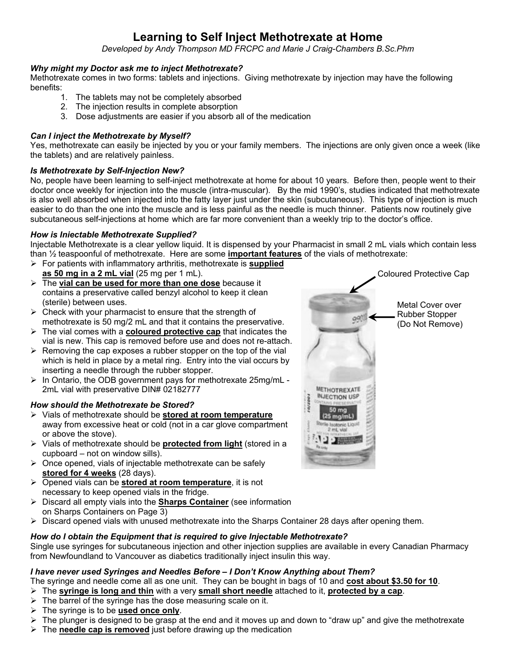# **Learning to Self Inject Methotrexate at Home**

*Developed by Andy Thompson MD FRCPC and Marie J Craig-Chambers B.Sc.Phm* 

#### *Why might my Doctor ask me to inject Methotrexate?*

Methotrexate comes in two forms: tablets and injections. Giving methotrexate by injection may have the following benefits:

- 1. The tablets may not be completely absorbed
- 2. The injection results in complete absorption
- 3. Dose adjustments are easier if you absorb all of the medication

### *Can I inject the Methotrexate by Myself?*

Yes, methotrexate can easily be injected by you or your family members. The injections are only given once a week (like the tablets) and are relatively painless.

#### *Is Methotrexate by Self-Injection New?*

No, people have been learning to self-inject methotrexate at home for about 10 years. Before then, people went to their doctor once weekly for injection into the muscle (intra-muscular). By the mid 1990's, studies indicated that methotrexate is also well absorbed when injected into the fatty layer just under the skin (subcutaneous). This type of injection is much easier to do than the one into the muscle and is less painful as the needle is much thinner. Patients now routinely give subcutaneous self-injections at home which are far more convenient than a weekly trip to the doctor's office.

### *How is Iniectable Methotrexate Supplied?*

Injectable Methotrexate is a clear yellow liquid. It is dispensed by your Pharmacist in small 2 mL vials which contain less than ½ teaspoonful of methotrexate. Here are some **important features** of the vials of methotrexate:

- ¾ For patients with inflammatory arthritis, methotrexate is **supplied as 50 mg in a 2 mL vial** (25 mg per 1 mL).
- ¾ The **vial can be used for more than one dose** because it contains a preservative called benzyl alcohol to keep it clean (sterile) between uses.
- $\triangleright$  Check with your pharmacist to ensure that the strength of methotrexate is 50 mg/2 mL and that it contains the preservative.
- ¾ The vial comes with a **coloured protective cap** that indicates the vial is new. This cap is removed before use and does not re-attach.
- $\triangleright$  Removing the cap exposes a rubber stopper on the top of the vial which is held in place by a metal ring. Entry into the vial occurs by inserting a needle through the rubber stopper.
- $\triangleright$  In Ontario, the ODB government pays for methotrexate 25mg/mL -2mL vial with preservative DIN# 02182777

### *How should the Methotrexate be Stored?*

- ¾ Vials of methotrexate should be **stored at room temperature** away from excessive heat or cold (not in a car glove compartment or above the stove).
- ¾ Vials of methotrexate should be **protected from light** (stored in a cupboard – not on window sills).
- $\triangleright$  Once opened, vials of injectable methotrexate can be safely **stored for 4 weeks** (28 days).
- ¾ Opened vials can be **stored at room temperature**, it is not necessary to keep opened vials in the fridge.
- ¾ Discard all empty vials into the **Sharps Container** (see information on Sharps Containers on Page 3)
- $\triangleright$  Discard opened vials with unused methotrexate into the Sharps Container 28 days after opening them.

#### *How do I obtain the Equipment that is required to give Injectable Methotrexate?*

Single use syringes for subcutaneous injection and other injection supplies are available in every Canadian Pharmacy from Newfoundland to Vancouver as diabetics traditionally inject insulin this way.

#### *I have never used Syringes and Needles Before – I Don't Know Anything about Them?*

- The syringe and needle come all as one unit. They can be bought in bags of 10 and **cost about \$3.50 for 10**.
- ¾ The **syringe is long and thin** with a very **small short needle** attached to it, **protected by a cap**.
- $\triangleright$  The barrel of the syringe has the dose measuring scale on it.
- ¾ The syringe is to be **used once only**.
- $\triangleright$  The plunger is designed to be grasp at the end and it moves up and down to "draw up" and give the methotrexate
- ¾ The **needle cap is removed** just before drawing up the medication

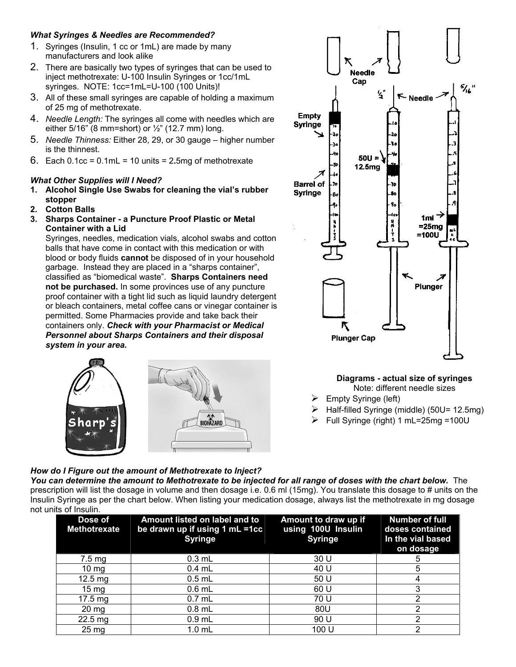### *What Syringes & Needles are Recommended?*

- 1. Syringes (Insulin, 1 cc or 1mL) are made by many manufacturers and look alike
- 2. There are basically two types of syringes that can be used to inject methotrexate: U-100 Insulin Syringes or 1cc/1mL syringes. NOTE: 1cc=1mL=U-100 (100 Units)!
- 3. All of these small syringes are capable of holding a maximum of 25 mg of methotrexate.
- 4. *Needle Length:* The syringes all come with needles which are either  $5/16$ " (8 mm=short) or  $\frac{1}{2}$ " (12.7 mm) long.
- 5. *Needle Thinness:* Either 28, 29, or 30 gauge higher number is the thinnest.
- 6. Each 0.1cc = 0.1mL = 10 units = 2**.**5mg of methotrexate

### *What Other Supplies will I Need?*

- **1. Alcohol Single Use Swabs for cleaning the vial's rubber stopper**
- **2. Cotton Balls**
- **3. Sharps Container a Puncture Proof Plastic or Metal Container with a Lid**

Syringes, needles, medication vials, alcohol swabs and cotton balls that have come in contact with this medication or with blood or body fluids **cannot** be disposed of in your household garbage. Instead they are placed in a "sharps container", classified as "biomedical waste". **Sharps Containers need not be purchased.** In some provinces use of any puncture proof container with a tight lid such as liquid laundry detergent or bleach containers, metal coffee cans or vinegar container is permitted. Some Pharmacies provide and take back their containers only. *Check with your Pharmacist or Medical Personnel about Sharps Containers and their disposal system in your area.* 



### *How do I Figure out the amount of Methotrexate to Inject?*



**Diagrams - actual size of syringes** Note: different needle sizes

- $\triangleright$  Empty Syringe (left)
- ¾ Half-filled Syringe (middle) (50U= 12.5mg)
- $\triangleright$  Full Syringe (right) 1 mL=25mg =100U

*You can determine the amount to Methotrexate to be injected for all range of doses with the chart below.* The prescription will list the dosage in volume and then dosage i.e. 0.6 ml (15mg). You translate this dosage to # units on the Insulin Syringe as per the chart below. When listing your medication dosage, always list the methotrexate in mg dosage not units of Insulin.

| טווויט ש<br>Dose of<br><b>Methotrexate</b> | Amount listed on label and to<br>be drawn up if using 1 mL =1cc<br><b>Syringe</b> | Amount to draw up if<br>using 100U Insulin<br><b>Syringe</b> | <b>Number of full</b><br>doses contained<br>In the vial based<br>on dosage |
|--------------------------------------------|-----------------------------------------------------------------------------------|--------------------------------------------------------------|----------------------------------------------------------------------------|
| $7.5 \,\mathrm{mg}$                        | $0.3$ mL                                                                          | 30 U                                                         |                                                                            |
| $10 \text{ mg}$                            | $0.4$ mL                                                                          | 40 U                                                         | 5                                                                          |
| $12.5 \text{ mg}$                          | $0.5$ mL                                                                          | 50 U                                                         |                                                                            |
| $15 \text{ mg}$                            | $0.6$ mL                                                                          | 60 U                                                         |                                                                            |
| $17.5 \text{ mg}$                          | $0.7$ mL                                                                          | 70 U                                                         | ⌒                                                                          |
| $20 \text{ mg}$                            | $0.8$ mL                                                                          | 80U                                                          | າ                                                                          |
| $22.5 \text{ mg}$                          | $0.9$ mL                                                                          | 90 U                                                         |                                                                            |
| 25 <sub>mg</sub>                           | $1.0$ mL                                                                          | 100 U                                                        |                                                                            |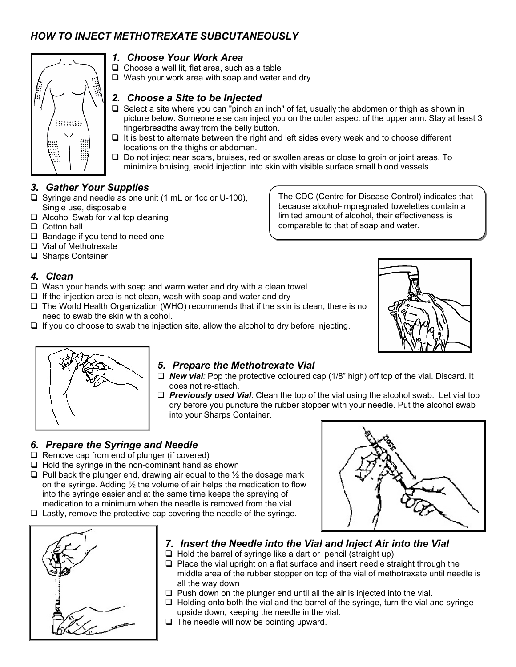# *HOW TO INJECT METHOTREXATE SUBCUTANEOUSLY*



### *1. Choose Your Work Area*

 $\Box$  Choose a well lit, flat area, such as a table

 $\Box$  Wash your work area with soap and water and dry

### *2. Choose a Site to be Injected*

- $\Box$  Select a site where you can "pinch an inch" of fat, usually the abdomen or thigh as shown in picture below. Someone else can inject you on the outer aspect of the upper arm. Stay at least 3 fingerbreadths away from the belly button.
- $\Box$  It is best to alternate between the right and left sides every week and to choose different locations on the thighs or abdomen.
- $\Box$  Do not inject near scars, bruises, red or swollen areas or close to groin or joint areas. To minimize bruising, avoid injection into skin with visible surface small blood vessels.

### *3. Gather Your Supplies*

- $\Box$  Syringe and needle as one unit (1 mL or 1cc or U-100), Single use, disposable
- □ Alcohol Swab for vial top cleaning
- $\Box$  Cotton ball
- $\Box$  Bandage if you tend to need one
- □ Vial of Methotrexate
- □ Sharps Container

### *4. Clean*

- $\Box$  Wash your hands with soap and warm water and dry with a clean towel.
- $\Box$  If the injection area is not clean, wash with soap and water and dry
- $\Box$  The World Health Organization (WHO) recommends that if the skin is clean, there is no need to swab the skin with alcohol.
- If you do choose to swab the injection site, allow the alcohol to dry before injecting.



The CDC (Centre for Disease Control) indicates that because alcohol-impregnated towelettes contain a limited amount of alcohol, their effectiveness is

comparable to that of soap and water.



### *5. Prepare the Methotrexate Vial*

- *New vial:* Pop the protective coloured cap (1/8" high) off top of the vial. Discard. It does not re-attach.
- *Previously used Vial:* Clean the top of the vial using the alcohol swab. Let vial top dry before you puncture the rubber stopper with your needle. Put the alcohol swab into your Sharps Container.

### *6. Prepare the Syringe and Needle*

- $\Box$  Remove cap from end of plunger (if covered)
- $\Box$  Hold the syringe in the non-dominant hand as shown
- $\Box$  Pull back the plunger end, drawing air equal to the  $\frac{1}{2}$  the dosage mark on the syringe. Adding  $\frac{1}{2}$  the volume of air helps the medication to flow into the syringe easier and at the same time keeps the spraying of medication to a minimum when the needle is removed from the vial.
- $\Box$  Lastly, remove the protective cap covering the needle of the syringe.



- *7. Insert the Needle into the Vial and Inject Air into the Vial*
- $\Box$  Hold the barrel of syringe like a dart or pencil (straight up).
- $\Box$  Place the vial upright on a flat surface and insert needle straight through the middle area of the rubber stopper on top of the vial of methotrexate until needle is all the way down
- $\Box$  Push down on the plunger end until all the air is injected into the vial.
- $\Box$  Holding onto both the vial and the barrel of the syringe, turn the vial and syringe upside down, keeping the needle in the vial.
- $\Box$  The needle will now be pointing upward.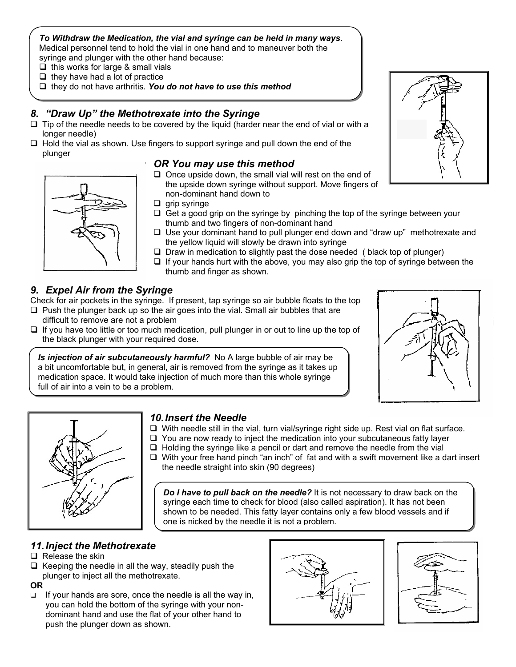#### *To Withdraw the Medication, the vial and syringe can be held in many ways*. Medical personnel tend to hold the vial in one hand and to maneuver both the syringe and plunger with the other hand because:

 $\Box$  this works for large & small vials

- $\Box$  they have had a lot of practice
- □ they do not have arthritis. You do not have to use this method

### *8. "Draw Up" the Methotrexate into the Syringe*

- $\Box$  Tip of the needle needs to be covered by the liquid (harder near the end of vial or with a longer needle)
- $\Box$  Hold the vial as shown. Use fingers to support syringe and pull down the end of the plunger

### *OR You may use this method*

- $\Box$  Once upside down, the small vial will rest on the end of the upside down syringe without support. Move fingers of non-dominant hand down to
- $\Box$  grip syringe
- $\Box$  Get a good grip on the syringe by pinching the top of the syringe between your thumb and two fingers of non-dominant hand
- $\Box$  Use your dominant hand to pull plunger end down and "draw up" methotrexate and the yellow liquid will slowly be drawn into syringe
- $\square$  Draw in medication to slightly past the dose needed ( black top of plunger)
- $\Box$  If your hands hurt with the above, you may also grip the top of syringe between the thumb and finger as shown.

### *9. Expel Air from the Syringe*

Check for air pockets in the syringe. If present, tap syringe so air bubble floats to the top  $\square$  Push the plunger back up so the air goes into the vial. Small air bubbles that are

- difficult to remove are not a problem
- $\Box$  If you have too little or too much medication, pull plunger in or out to line up the top of the black plunger with your required dose.

*Is injection of air subcutaneously harmful?* No A large bubble of air may be a bit uncomfortable but, in general, air is removed from the syringe as it takes up medication space. It would take injection of much more than this whole syringe full of air into a vein to be a problem.

#### *10. Insert the Needle*

- $\Box$  With needle still in the vial, turn vial/syringe right side up. Rest vial on flat surface.
- $\Box$  You are now ready to inject the medication into your subcutaneous fatty layer
- $\Box$  Holding the syringe like a pencil or dart and remove the needle from the vial
- $\Box$  With your free hand pinch "an inch" of fat and with a swift movement like a dart insert the needle straight into skin (90 degrees)

*Do I have to pull back on the needle?* It is not necessary to draw back on the syringe each time to check for blood (also called aspiration). It has not been shown to be needed. This fatty layer contains only a few blood vessels and if one is nicked by the needle it is not a problem.

### *11. Inject the Methotrexate*

- $\Box$  Release the skin
- $\Box$  Keeping the needle in all the way, steadily push the plunger to inject all the methotrexate.

#### **OR**

 $\Box$  If your hands are sore, once the needle is all the way in, you can hold the bottom of the syringe with your nondominant hand and use the flat of your other hand to push the plunger down as shown.